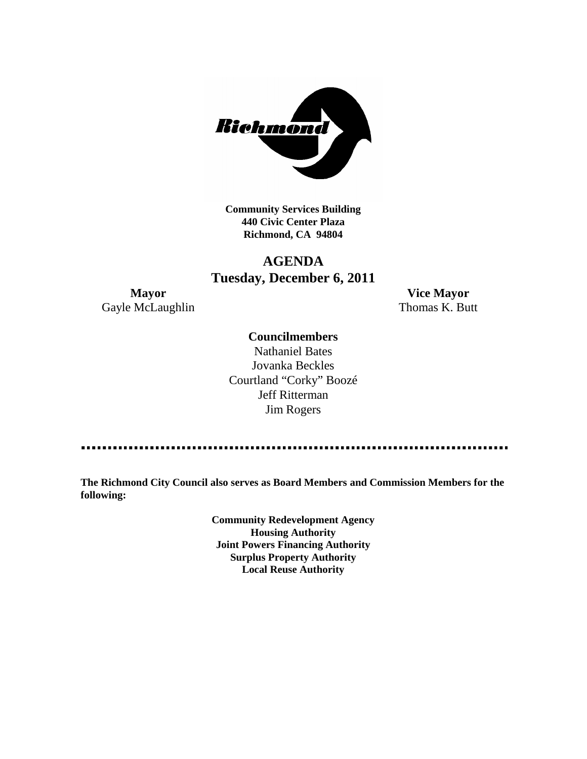

**Community Services Building 440 Civic Center Plaza Richmond, CA 94804**

## **AGENDA Tuesday, December 6, 2011**

Gayle McLaughlin Thomas K. Butt

**Mayor Vice Mayor**

## **Councilmembers**

Nathaniel Bates Jovanka Beckles Courtland "Corky" Boozé Jeff Ritterman Jim Rogers

**The Richmond City Council also serves as Board Members and Commission Members for the following:**

> **Community Redevelopment Agency Housing Authority Joint Powers Financing Authority Surplus Property Authority Local Reuse Authority**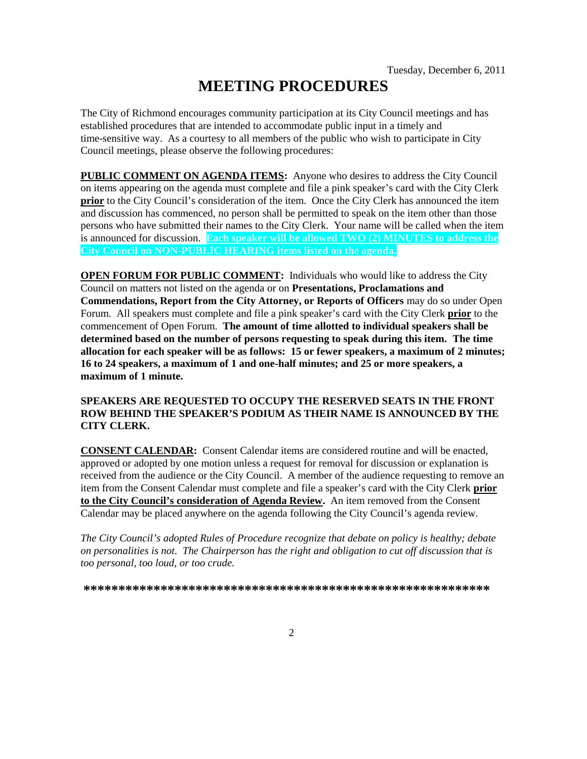# **MEETING PROCEDURES**

The City of Richmond encourages community participation at its City Council meetings and has established procedures that are intended to accommodate public input in a timely and time-sensitive way. As a courtesy to all members of the public who wish to participate in City Council meetings, please observe the following procedures:

**PUBLIC COMMENT ON AGENDA ITEMS:** Anyone who desires to address the City Council on items appearing on the agenda must complete and file a pink speaker's card with the City Clerk **prior** to the City Council's consideration of the item. Once the City Clerk has announced the item and discussion has commenced, no person shall be permitted to speak on the item other than those persons who have submitted their names to the City Clerk. Your name will be called when the item is announced for discussion. **Each speaker will be allowed TWO (2) MINUTES to address the City Council on NON-PUBLIC HEARING items listed on the agenda.**

**OPEN FORUM FOR PUBLIC COMMENT:** Individuals who would like to address the City Council on matters not listed on the agenda or on **Presentations, Proclamations and Commendations, Report from the City Attorney, or Reports of Officers** may do so under Open Forum. All speakers must complete and file a pink speaker's card with the City Clerk **prior** to the commencement of Open Forum. **The amount of time allotted to individual speakers shall be determined based on the number of persons requesting to speak during this item. The time allocation for each speaker will be as follows: 15 or fewer speakers, a maximum of 2 minutes; 16 to 24 speakers, a maximum of 1 and one-half minutes; and 25 or more speakers, a maximum of 1 minute.**

### **SPEAKERS ARE REQUESTED TO OCCUPY THE RESERVED SEATS IN THE FRONT ROW BEHIND THE SPEAKER'S PODIUM AS THEIR NAME IS ANNOUNCED BY THE CITY CLERK.**

**CONSENT CALENDAR:** Consent Calendar items are considered routine and will be enacted, approved or adopted by one motion unless a request for removal for discussion or explanation is received from the audience or the City Council. A member of the audience requesting to remove an item from the Consent Calendar must complete and file a speaker's card with the City Clerk **prior to the City Council's consideration of Agenda Review.** An item removed from the Consent Calendar may be placed anywhere on the agenda following the City Council's agenda review.

*The City Council's adopted Rules of Procedure recognize that debate on policy is healthy; debate on personalities is not. The Chairperson has the right and obligation to cut off discussion that is too personal, too loud, or too crude.*

**\*\*\*\*\*\*\*\*\*\*\*\*\*\*\*\*\*\*\*\*\*\*\*\*\*\*\*\*\*\*\*\*\*\*\*\*\*\*\*\*\*\*\*\*\*\*\*\*\*\*\*\*\*\*\*\*\*\***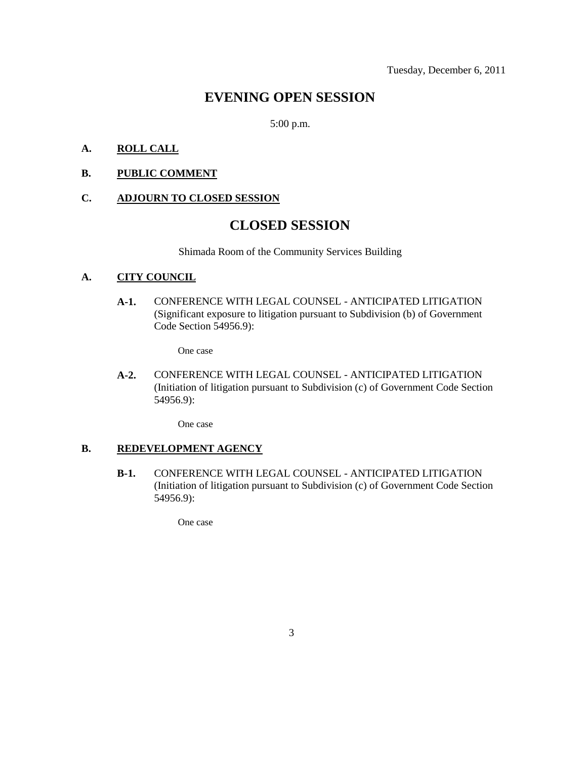## **EVENING OPEN SESSION**

5:00 p.m.

## **A. ROLL CALL**

**B. PUBLIC COMMENT**

### **C. ADJOURN TO CLOSED SESSION**

## **CLOSED SESSION**

Shimada Room of the Community Services Building

## **A. CITY COUNCIL**

**A-1.** CONFERENCE WITH LEGAL COUNSEL - ANTICIPATED LITIGATION (Significant exposure to litigation pursuant to Subdivision (b) of Government Code Section 54956.9):

One case

**A-2.** CONFERENCE WITH LEGAL COUNSEL - ANTICIPATED LITIGATION (Initiation of litigation pursuant to Subdivision (c) of Government Code Section 54956.9):

One case

### **B. REDEVELOPMENT AGENCY**

**B-1.** CONFERENCE WITH LEGAL COUNSEL - ANTICIPATED LITIGATION (Initiation of litigation pursuant to Subdivision (c) of Government Code Section 54956.9):

One case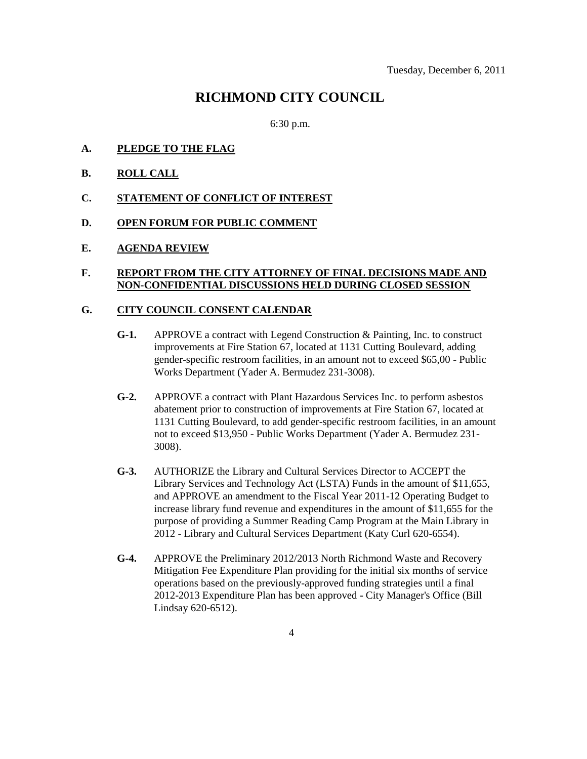## **RICHMOND CITY COUNCIL**

6:30 p.m.

- **A. PLEDGE TO THE FLAG**
- **B. ROLL CALL**
- **C. STATEMENT OF CONFLICT OF INTEREST**
- **D. OPEN FORUM FOR PUBLIC COMMENT**
- **E. AGENDA REVIEW**

#### **F. REPORT FROM THE CITY ATTORNEY OF FINAL DECISIONS MADE AND NON-CONFIDENTIAL DISCUSSIONS HELD DURING CLOSED SESSION**

#### **G. CITY COUNCIL CONSENT CALENDAR**

- **G-1.** APPROVE a contract with Legend Construction & Painting, Inc. to construct improvements at Fire Station 67, located at 1131 Cutting Boulevard, adding gender-specific restroom facilities, in an amount not to exceed \$65,00 - Public Works Department (Yader A. Bermudez 231-3008).
- **G-2.** APPROVE a contract with Plant Hazardous Services Inc. to perform asbestos abatement prior to construction of improvements at Fire Station 67, located at 1131 Cutting Boulevard, to add gender-specific restroom facilities, in an amount not to exceed \$13,950 - Public Works Department (Yader A. Bermudez 231- 3008).
- **G-3.** AUTHORIZE the Library and Cultural Services Director to ACCEPT the Library Services and Technology Act (LSTA) Funds in the amount of \$11,655, and APPROVE an amendment to the Fiscal Year 2011-12 Operating Budget to increase library fund revenue and expenditures in the amount of \$11,655 for the purpose of providing a Summer Reading Camp Program at the Main Library in 2012 - Library and Cultural Services Department (Katy Curl 620-6554).
- **G-4.** APPROVE the Preliminary 2012/2013 North Richmond Waste and Recovery Mitigation Fee Expenditure Plan providing for the initial six months of service operations based on the previously-approved funding strategies until a final 2012-2013 Expenditure Plan has been approved - City Manager's Office (Bill Lindsay 620-6512).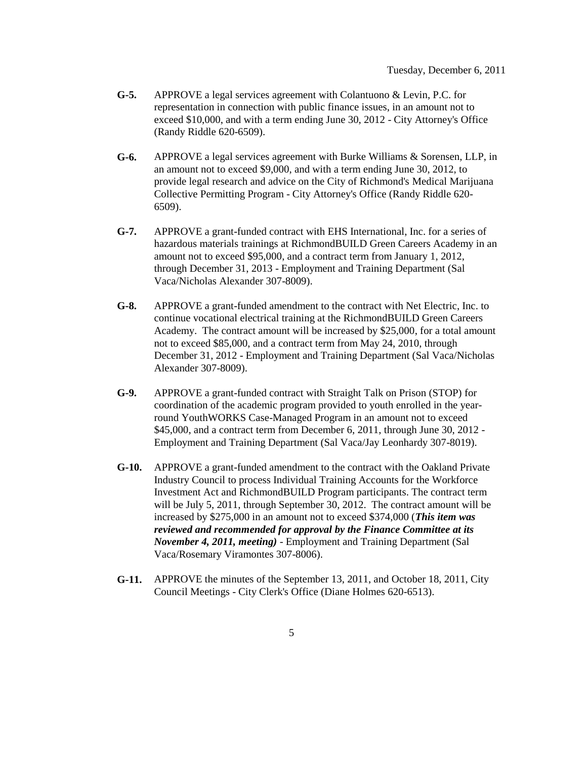- **G-5.** APPROVE a legal services agreement with Colantuono & Levin, P.C. for representation in connection with public finance issues, in an amount not to exceed \$10,000, and with a term ending June 30, 2012 - City Attorney's Office (Randy Riddle 620-6509).
- **G-6.** APPROVE a legal services agreement with Burke Williams & Sorensen, LLP, in an amount not to exceed \$9,000, and with a term ending June 30, 2012, to provide legal research and advice on the City of Richmond's Medical Marijuana Collective Permitting Program - City Attorney's Office (Randy Riddle 620- 6509).
- **G-7.** APPROVE a grant-funded contract with EHS International, Inc. for a series of hazardous materials trainings at RichmondBUILD Green Careers Academy in an amount not to exceed \$95,000, and a contract term from January 1, 2012, through December 31, 2013 - Employment and Training Department (Sal Vaca/Nicholas Alexander 307-8009).
- **G-8.** APPROVE a grant-funded amendment to the contract with Net Electric, Inc. to continue vocational electrical training at the RichmondBUILD Green Careers Academy. The contract amount will be increased by \$25,000, for a total amount not to exceed \$85,000, and a contract term from May 24, 2010, through December 31, 2012 - Employment and Training Department (Sal Vaca/Nicholas Alexander 307-8009).
- **G-9.** APPROVE a grant-funded contract with Straight Talk on Prison (STOP) for coordination of the academic program provided to youth enrolled in the yearround YouthWORKS Case-Managed Program in an amount not to exceed \$45,000, and a contract term from December 6, 2011, through June 30, 2012 - Employment and Training Department (Sal Vaca/Jay Leonhardy 307-8019).
- **G-10.** APPROVE a grant-funded amendment to the contract with the Oakland Private Industry Council to process Individual Training Accounts for the Workforce Investment Act and RichmondBUILD Program participants. The contract term will be July 5, 2011, through September 30, 2012. The contract amount will be increased by \$275,000 in an amount not to exceed \$374,000 (*This item was reviewed and recommended for approval by the Finance Committee at its November 4, 2011, meeting)* - Employment and Training Department (Sal Vaca/Rosemary Viramontes 307-8006).
- **G-11.** APPROVE the minutes of the September 13, 2011, and October 18, 2011, City Council Meetings - City Clerk's Office (Diane Holmes 620-6513).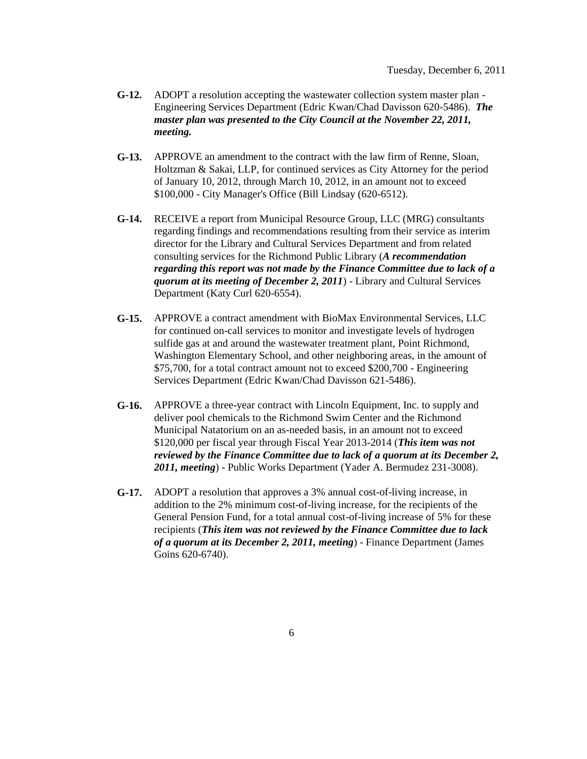- **G-12.** ADOPT a resolution accepting the wastewater collection system master plan Engineering Services Department (Edric Kwan/Chad Davisson 620-5486). *The master plan was presented to the City Council at the November 22, 2011, meeting.*
- **G-13.** APPROVE an amendment to the contract with the law firm of Renne, Sloan, Holtzman & Sakai, LLP, for continued services as City Attorney for the period of January 10, 2012, through March 10, 2012, in an amount not to exceed \$100,000 - City Manager's Office (Bill Lindsay (620-6512).
- **G-14.** RECEIVE a report from Municipal Resource Group, LLC (MRG) consultants regarding findings and recommendations resulting from their service as interim director for the Library and Cultural Services Department and from related consulting services for the Richmond Public Library (*A recommendation regarding this report was not made by the Finance Committee due to lack of a quorum at its meeting of December 2, 2011*) - Library and Cultural Services Department (Katy Curl 620-6554).
- **G-15.** APPROVE a contract amendment with BioMax Environmental Services, LLC for continued on-call services to monitor and investigate levels of hydrogen sulfide gas at and around the wastewater treatment plant, Point Richmond, Washington Elementary School, and other neighboring areas, in the amount of \$75,700, for a total contract amount not to exceed \$200,700 - Engineering Services Department (Edric Kwan/Chad Davisson 621-5486).
- **G-16.** APPROVE a three-year contract with Lincoln Equipment, Inc. to supply and deliver pool chemicals to the Richmond Swim Center and the Richmond Municipal Natatorium on an as-needed basis, in an amount not to exceed \$120,000 per fiscal year through Fiscal Year 2013-2014 (*This item was not reviewed by the Finance Committee due to lack of a quorum at its December 2, 2011, meeting*) - Public Works Department (Yader A. Bermudez 231-3008).
- **G-17.** ADOPT a resolution that approves a 3% annual cost-of-living increase, in addition to the 2% minimum cost-of-living increase, for the recipients of the General Pension Fund, for a total annual cost-of-living increase of 5% for these recipients (*This item was not reviewed by the Finance Committee due to lack of a quorum at its December 2, 2011, meeting*) - Finance Department (James Goins 620-6740).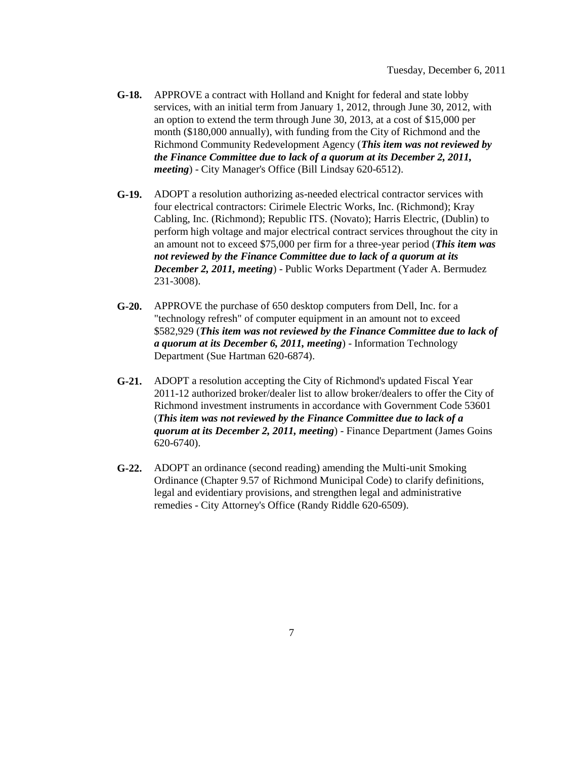- **G-18.** APPROVE a contract with Holland and Knight for federal and state lobby services, with an initial term from January 1, 2012, through June 30, 2012, with an option to extend the term through June 30, 2013, at a cost of \$15,000 per month (\$180,000 annually), with funding from the City of Richmond and the Richmond Community Redevelopment Agency (*This item was not reviewed by the Finance Committee due to lack of a quorum at its December 2, 2011, meeting*) - City Manager's Office (Bill Lindsay 620-6512).
- **G-19.** ADOPT a resolution authorizing as-needed electrical contractor services with four electrical contractors: Cirimele Electric Works, Inc. (Richmond); Kray Cabling, Inc. (Richmond); Republic ITS. (Novato); Harris Electric, (Dublin) to perform high voltage and major electrical contract services throughout the city in an amount not to exceed \$75,000 per firm for a three-year period (*This item was not reviewed by the Finance Committee due to lack of a quorum at its December 2, 2011, meeting*) - Public Works Department (Yader A. Bermudez 231-3008).
- **G-20.** APPROVE the purchase of 650 desktop computers from Dell, Inc. for a "technology refresh" of computer equipment in an amount not to exceed \$582,929 (*This item was not reviewed by the Finance Committee due to lack of a quorum at its December 6, 2011, meeting*) - Information Technology Department (Sue Hartman 620-6874).
- **G-21.** ADOPT a resolution accepting the City of Richmond's updated Fiscal Year 2011-12 authorized broker/dealer list to allow broker/dealers to offer the City of Richmond investment instruments in accordance with Government Code 53601 (*This item was not reviewed by the Finance Committee due to lack of a quorum at its December 2, 2011, meeting*) - Finance Department (James Goins 620-6740).
- **G-22.** ADOPT an ordinance (second reading) amending the Multi-unit Smoking Ordinance (Chapter 9.57 of Richmond Municipal Code) to clarify definitions, legal and evidentiary provisions, and strengthen legal and administrative remedies - City Attorney's Office (Randy Riddle 620-6509).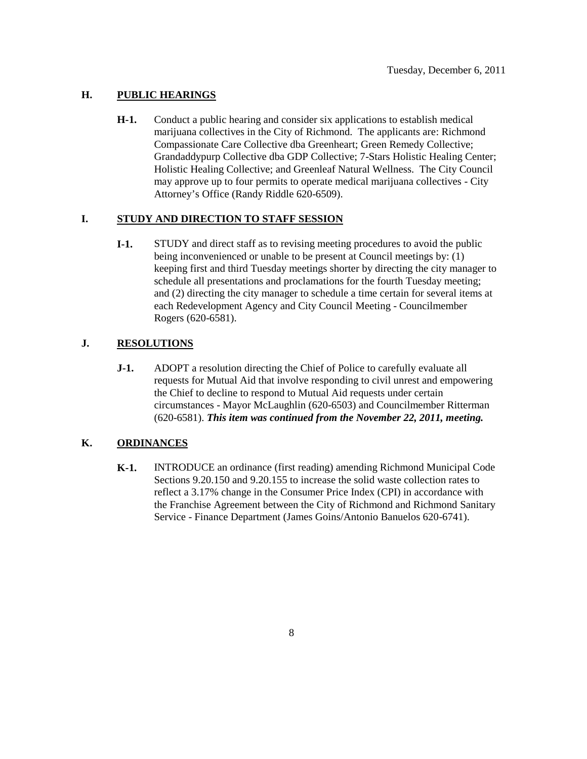## **H. PUBLIC HEARINGS**

**H-1.** Conduct a public hearing and consider six applications to establish medical marijuana collectives in the City of Richmond. The applicants are: Richmond Compassionate Care Collective dba Greenheart; Green Remedy Collective; Grandaddypurp Collective dba GDP Collective; 7-Stars Holistic Healing Center; Holistic Healing Collective; and Greenleaf Natural Wellness. The City Council may approve up to four permits to operate medical marijuana collectives - City Attorney's Office (Randy Riddle 620-6509).

## **I. STUDY AND DIRECTION TO STAFF SESSION**

**I-1.** STUDY and direct staff as to revising meeting procedures to avoid the public being inconvenienced or unable to be present at Council meetings by: (1) keeping first and third Tuesday meetings shorter by directing the city manager to schedule all presentations and proclamations for the fourth Tuesday meeting; and (2) directing the city manager to schedule a time certain for several items at each Redevelopment Agency and City Council Meeting - Councilmember Rogers (620-6581).

## **J. RESOLUTIONS**

**J-1.** ADOPT a resolution directing the Chief of Police to carefully evaluate all requests for Mutual Aid that involve responding to civil unrest and empowering the Chief to decline to respond to Mutual Aid requests under certain circumstances - Mayor McLaughlin (620-6503) and Councilmember Ritterman (620-6581). *This item was continued from the November 22, 2011, meeting.*

## **K. ORDINANCES**

**K-1.** INTRODUCE an ordinance (first reading) amending Richmond Municipal Code Sections 9.20.150 and 9.20.155 to increase the solid waste collection rates to reflect a 3.17% change in the Consumer Price Index (CPI) in accordance with the Franchise Agreement between the City of Richmond and Richmond Sanitary Service - Finance Department (James Goins/Antonio Banuelos 620-6741).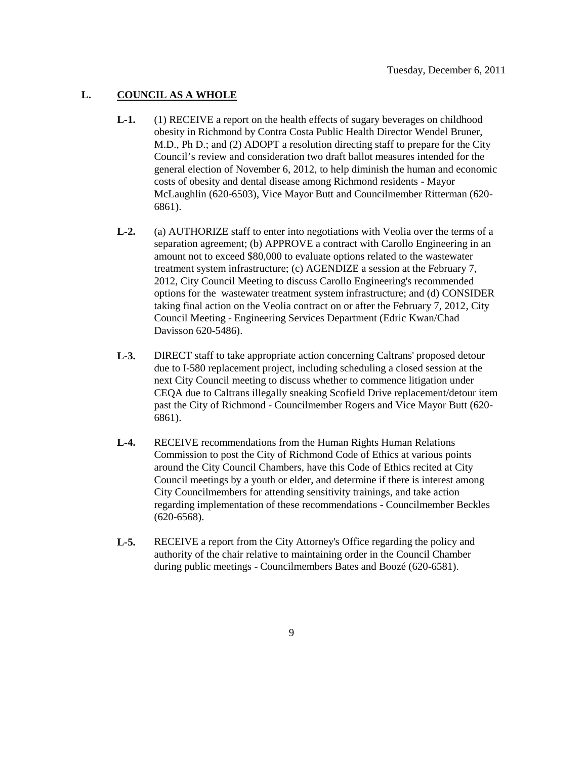## **L. COUNCIL AS A WHOLE**

- **L-1.** (1) RECEIVE a report on the health effects of sugary beverages on childhood obesity in Richmond by Contra Costa Public Health Director Wendel Bruner, M.D., Ph D.; and (2) ADOPT a resolution directing staff to prepare for the City Council's review and consideration two draft ballot measures intended for the general election of November 6, 2012, to help diminish the human and economic costs of obesity and dental disease among Richmond residents - Mayor McLaughlin (620-6503), Vice Mayor Butt and Councilmember Ritterman (620- 6861).
- **L-2.** (a) AUTHORIZE staff to enter into negotiations with Veolia over the terms of a separation agreement; (b) APPROVE a contract with Carollo Engineering in an amount not to exceed \$80,000 to evaluate options related to the wastewater treatment system infrastructure; (c) AGENDIZE a session at the February 7, 2012, City Council Meeting to discuss Carollo Engineering's recommended options for the wastewater treatment system infrastructure; and (d) CONSIDER taking final action on the Veolia contract on or after the February 7, 2012, City Council Meeting - Engineering Services Department (Edric Kwan/Chad Davisson 620-5486).
- **L-3.** DIRECT staff to take appropriate action concerning Caltrans' proposed detour due to I-580 replacement project, including scheduling a closed session at the next City Council meeting to discuss whether to commence litigation under CEQA due to Caltrans illegally sneaking Scofield Drive replacement/detour item past the City of Richmond - Councilmember Rogers and Vice Mayor Butt (620- 6861).
- **L-4.** RECEIVE recommendations from the Human Rights Human Relations Commission to post the City of Richmond Code of Ethics at various points around the City Council Chambers, have this Code of Ethics recited at City Council meetings by a youth or elder, and determine if there is interest among City Councilmembers for attending sensitivity trainings, and take action regarding implementation of these recommendations - Councilmember Beckles (620-6568).
- **L-5.** RECEIVE a report from the City Attorney's Office regarding the policy and authority of the chair relative to maintaining order in the Council Chamber during public meetings - Councilmembers Bates and Boozé (620-6581).